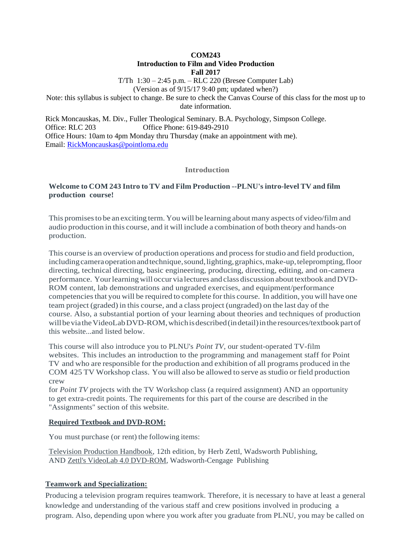**COM243**

# **Introduction to Film and Video Production**

**Fall 2017**

T/Th 1:30 – 2:45 p.m. – RLC 220 (Bresee Computer Lab)

(Version as of 9/15/17 9:40 pm; updated when?)

Note: this syllabus is subject to change. Be sure to check the Canvas Course of this class for the most up to date information.

Rick Moncauskas, M. Div., Fuller Theological Seminary. B.A. Psychology, Simpson College. Office: RLC 203 Office Phone: 619-849-2910 Office Hours: 10am to 4pm Monday thru Thursday (make an appointment with me). Email: [RickMoncauskas@pointloma.edu](mailto:RickMoncauskas@pointloma.edu)

### **Introduction**

# **Welcome to COM 243 Intro to TV and Film Production --PLNU's intro-level TV and film production course!**

This promisesto be an exciting term. You will be learning aboutmany aspects of video/film and audio production in this course, and it will include a combination of both theory and hands-on production.

This course is an overview of production operations and processforstudio and field production, including camera operation and technique, sound, lighting, graphics, make-up, teleprompting, floor directing, technical directing, basic engineering, producing, directing, editing, and on-camera performance. Your learning will occur via lectures and class discussion about textbook and DVD-ROM content, lab demonstrations and ungraded exercises, and equipment/performance competenciesthat you will be required to complete forthis course. In addition, you will have one team project (graded) in this course, and a class project (ungraded) on the last day of the course. Also, a substantial portion of your learning about theories and techniques of production will be via the VideoLab DVD-ROM, which is described (in detail) in the resources/textbook part of this website...and listed below.

This course will also introduce you to PLNU's *Point TV*, our student-operated TV-film websites. This includes an introduction to the programming and management staff for Point TV and who are responsible for the production and exhibition of all programs produced in the COM 425 TV Workshop class. You will also be allowed to serve as studio or field production crew

for *Point TV* projects with the TV Workshop class (a required assignment) AND an opportunity to get extra-credit points. The requirements for this part of the course are described in the "Assignments" section of this website.

### **Required Textbook and DVD-ROM:**

You must purchase (or rent) the following items:

Television Production Handbook, 12th edition, by Herb Zettl, Wadsworth Publishing, AND Zettl's VideoLab 4.0 DVD-ROM, Wadsworth-Cengage Publishing

# **Teamwork and Specialization:**

Producing a television program requires teamwork. Therefore, it is necessary to have at least a general knowledge and understanding of the various staff and crew positions involved in producing a program. Also, depending upon where you work after you graduate from PLNU, you may be called on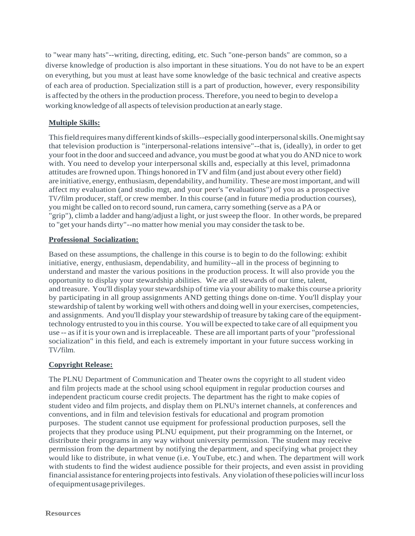to "wear many hats"--writing, directing, editing, etc. Such "one-person bands" are common, so a diverse knowledge of production is also important in these situations. You do not have to be an expert on everything, but you must at least have some knowledge of the basic technical and creative aspects of each area of production. Specialization still is a part of production, however, every responsibility is affected by the others in the production process. Therefore, you need to begin to develop a working knowledge of all aspects of television production at an early stage.

# **Multiple Skills:**

This field requires many different kinds of skills--especially good interpersonal skills. One might say that television production is "interpersonal-relations intensive"--that is, (ideally), in order to get yourfoot in the door and succeed and advance, you must be good at what you do AND nice to work with. You need to develop your interpersonal skills and, especially at this level, primadonna attitudes are frowned upon. Things honored in TV and film (and just about every otherfield) are initiative, energy, enthusiasm, dependability, and humility. These aremostimportant, and will affect my evaluation (and studio mgt, and your peer's "evaluations") of you as a prospective TV/film producer, staff, or crew member. In this course (and in future media production courses), you might be called on to record sound, run camera, carry something (serve as a PA or "grip"), climb a ladder and hang/adjust a light, or just sweep the floor. In other words, be prepared to "get your hands dirty"--no matter how menial you may consider the task to be.

# **Professional Socialization:**

Based on these assumptions, the challenge in this course is to begin to do the following: exhibit initiative, energy, enthusiasm, dependability, and humility--all in the process of beginning to understand and master the various positions in the production process. It will also provide you the opportunity to display your stewardship abilities. We are all stewards of our time, talent, and treasure. You'll display yourstewardship of time via your ability to make this course a priority by participating in all group assignments AND getting things done on-time. You'll display your stewardship oftalent by working well with others and doing well in your exercises, competencies, and assignments. And you'll display your stewardship of treasure by taking care of the equipmenttechnology entrusted to you in this course. You will be expected to take care of all equipment you use -- asifit is your own and isirreplaceable. These are all important parts of your "professional socialization" in this field, and each is extremely important in your future success working in TV/film.

# **Copyright Release:**

The PLNU Department of Communication and Theater owns the copyright to all student video and film projects made at the school using school equipment in regular production courses and independent practicum course credit projects. The department has the right to make copies of student video and film projects, and display them on PLNU's internet channels, at conferences and conventions, and in film and television festivals for educational and program promotion purposes. The student cannot use equipment for professional production purposes, sell the projects that they produce using PLNU equipment, put their programming on the Internet, or distribute their programs in any way without university permission. The student may receive permission from the department by notifying the department, and specifying what project they would like to distribute, in what venue (i.e. YouTube, etc.) and when. The department will work with students to find the widest audience possible for their projects, and even assist in providing financial assistance for entering projectsinto festivals. Any violation ofthesepolicieswillincurloss ofequipmentusageprivileges.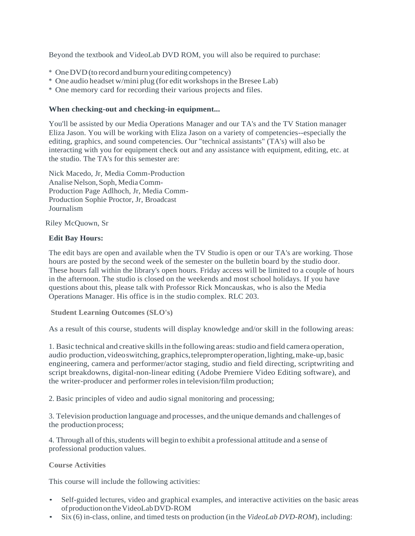Beyond the textbook and VideoLab DVD ROM, you will also be required to purchase:

- \* OneDVD(to record and burn your editing competency)
- \* One audio headset w/mini plug (for edit workshopsin theBresee Lab)
- \* One memory card for recording their various projects and files.

### **When checking-out and checking-in equipment...**

You'll be assisted by our Media Operations Manager and our TA's and the TV Station manager Eliza Jason. You will be working with Eliza Jason on a variety of competencies--especially the editing, graphics, and sound competencies. Our "technical assistants" (TA's) will also be interacting with you for equipment check out and any assistance with equipment, editing, etc. at the studio. The TA's for this semester are:

Nick Macedo, Jr, Media Comm-Production Analise Nelson, Soph, MediaComm-Production Page Adlhoch, Jr, Media Comm-Production Sophie Proctor, Jr, Broadcast Journalism

Riley McQuown, Sr

### **Edit Bay Hours:**

The edit bays are open and available when the TV Studio is open or our TA's are working. Those hours are posted by the second week of the semester on the bulletin board by the studio door. These hours fall within the library's open hours. Friday access will be limited to a couple of hours in the afternoon. The studio is closed on the weekends and most school holidays. If you have questions about this, please talk with Professor Rick Moncauskas, who is also the Media Operations Manager. His office is in the studio complex. RLC 203.

**Student Learning Outcomes (SLO's)**

As a result of this course, students will display knowledge and/or skill in the following areas:

1. Basic technical and creative skills in the following areas: studio and field camera operation, audio production, video switching, graphics, teleprompter operation, lighting, make-up, basic engineering, camera and performer/actor staging, studio and field directing, scriptwriting and script breakdowns, digital-non-linear editing (Adobe Premiere Video Editing software), and the writer-producer and performer rolesin television/film production;

2. Basic principles of video and audio signal monitoring and processing;

3. Television production language and processes, and the unique demands and challenges of the productionprocess;

4. Through all of this, students will begin to exhibit a professional attitude and a sense of professional production values.

**Course Activities**

This course will include the following activities:

- Self-guided lectures, video and graphical examples, and interactive activities on the basic areas ofproductionontheVideoLabDVD-ROM
- Six (6) in-class, online, and timed tests on production (in the *VideoLab DVD-ROM*), including: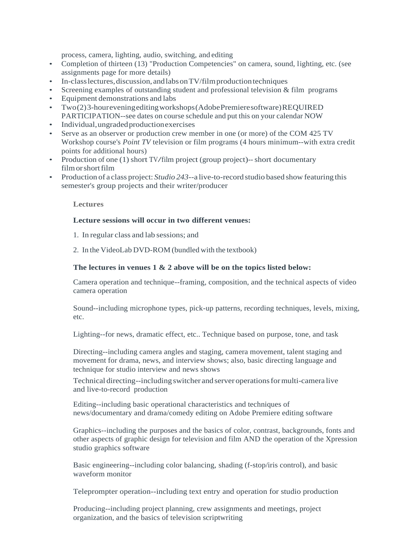process, camera, lighting, audio, switching, and editing

- Completion of thirteen (13) "Production Competencies" on camera, sound, lighting, etc. (see assignments page for more details)
- In-class lectures, discussion, and labs on TV/film production techniques
- Screening examples of outstanding student and professional television  $\&$  film programs
- Equipment demonstrations and labs
- Two(2)3-houreveningeditingworkshops(AdobePremieresoftware)REQUIRED PARTICIPATION--see dates on course schedule and put this on your calendar NOW
- Individual,ungradedproductionexercises
- Serve as an observer or production crew member in one (or more) of the COM 425 TV Workshop course's *Point TV* television or film programs (4 hours minimum--with extra credit points for additional hours)
- Production of one (1) short TV/film project (group project)-- short documentary film or short film
- Production of a class project: *Studio 243*--a live-to-record studio based show featuring this semester's group projects and their writer/producer

#### **Lectures**

### **Lecture sessions will occur in two different venues:**

- 1. In regular class and lab sessions; and
- 2. In the VideoLab DVD-ROM (bundled with the textbook)

### **The lectures in venues 1 & 2 above will be on the topics listed below:**

Camera operation and technique--framing, composition, and the technical aspects of video camera operation

Sound--including microphone types, pick-up patterns, recording techniques, levels, mixing, etc.

Lighting--for news, dramatic effect, etc.. Technique based on purpose, tone, and task

Directing--including camera angles and staging, camera movement, talent staging and movement for drama, news, and interview shows; also, basic directing language and technique for studio interview and news shows

Technical directing--including switcher and server operationsformulti-camera live and live-to-record production

Editing--including basic operational characteristics and techniques of news/documentary and drama/comedy editing on Adobe Premiere editing software

Graphics--including the purposes and the basics of color, contrast, backgrounds, fonts and other aspects of graphic design for television and film AND the operation of the Xpression studio graphics software

Basic engineering--including color balancing, shading (f-stop/iris control), and basic waveform monitor

Teleprompter operation--including text entry and operation for studio production

Producing--including project planning, crew assignments and meetings, project organization, and the basics of television scriptwriting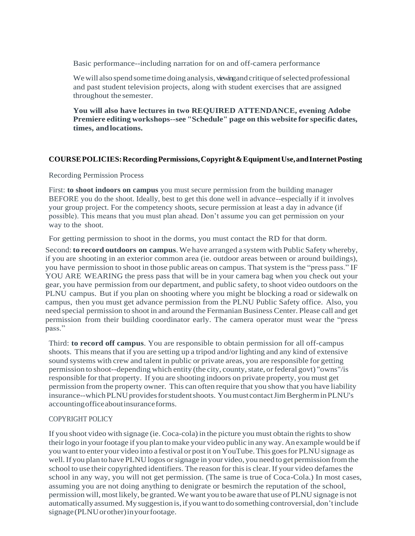Basic performance--including narration for on and off-camera performance

We will also spend some time doing analysis, viewing and critique of selected professional and past student television projects, along with student exercises that are assigned throughout the semester.

**You will also have lectures in two REQUIRED ATTENDANCE, evening Adobe Premiere editing workshops--see "Schedule" page on this website for specific dates, times, andlocations.**

### **COURSEPOLICIES:RecordingPermissions,Copyright&EquipmentUse,andInternetPosting**

Recording Permission Process

First: **to shoot indoors on campus** you must secure permission from the building manager BEFORE you do the shoot. Ideally, best to get this done well in advance--especially if it involves your group project. For the competency shoots, secure permission at least a day in advance (if possible). This means that you must plan ahead. Don't assume you can get permission on your way to the shoot.

For getting permission to shoot in the dorms, you must contact the RD for that dorm.

Second:**to record outdoors on campus**. We have arranged a system with Public Safety whereby, if you are shooting in an exterior common area (ie. outdoor areas between or around buildings), you have permission to shoot in those public areas on campus. That system is the "press pass." IF YOU ARE WEARING the press pass that will be in your camera bag when you check out your gear, you have permission from our department, and public safety, to shoot video outdoors on the PLNU campus. But if you plan on shooting where you might be blocking a road or sidewalk on campus, then you must get advance permission from the PLNU Public Safety office. Also, you needspecial permission to shoot in and around the Fermanian Business Center. Please call and get permission from their building coordinator early. The camera operator must wear the "press pass."

Third: **to record off campus**. You are responsible to obtain permission for all off-campus shoots. This means that if you are setting up a tripod and/or lighting and any kind of extensive sound systems with crew and talent in public or private areas, you are responsible for getting permission to shoot--depending which entity (the city, county, state, or federal govt) "owns"/is responsible for that property. If you are shooting indoors on private property, you must get permission from the property owner. This can often require that you show that you have liability insurance--whichPLNUprovidesforstudentshoots. Youmust contactJimBergherminPLNU's accountingofficeaboutinsuranceforms.

### COPYRIGHT POLICY

If you shoot video with signage (ie. Coca-cola) in the picture you must obtain the rights to show theirlogo in yourfootage if you plan tomake your video public in any way.An example would be if you want to enter your video into a festival or post it on YouTube.This goesfor PLNU signage as well.If you plan to have PLNU logos orsignage in your video, you need to get permission fromthe school to use their copyrighted identifiers. The reason for this is clear. If your video defames the school in any way, you will not get permission. (The same is true of Coca-Cola.) In most cases, assuming you are not doing anything to denigrate or besmirch the reputation of the school, permission will,most likely, be granted.We want you to be aware that use of PLNU signage is not automatically assumed.My suggestion is,ifyouwantto dosomething controversial, don'tinclude signage(PLNUorother)inyourfootage.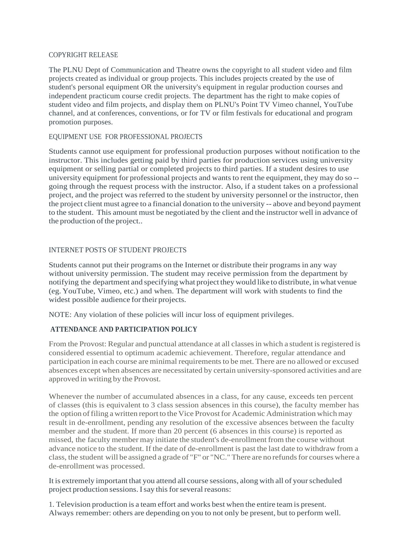#### COPYRIGHT RELEASE

The PLNU Dept of Communication and Theatre owns the copyright to all student video and film projects created as individual or group projects. This includes projects created by the use of student's personal equipment OR the university's equipment in regular production courses and independent practicum course credit projects. The department has the right to make copies of student video and film projects, and display them on PLNU's Point TV Vimeo channel, YouTube channel, and at conferences, conventions, or for TV or film festivals for educational and program promotion purposes.

### EQUIPMENT USE FOR PROFESSIONAL PROJECTS

Students cannot use equipment for professional production purposes without notification to the instructor. This includes getting paid by third parties for production services using university equipment or selling partial or completed projects to third parties. If a student desires to use university equipment for professional projects and wants to rent the equipment, they may do so -going through the request process with the instructor. Also, if a student takes on a professional project, and the project was referred to the student by university personnel or the instructor, then the project client must agree to a financial donation to the university -- above and beyond payment to the student. This amount must be negotiated by the client and the instructor well in advance of the production of the project...

### INTERNET POSTS OF STUDENT PROJECTS

Students cannot put their programs on the Internet or distribute their programs in any way without university permission. The student may receive permission from the department by notifying the department and specifying what project they would like to distribute, in what venue (eg. YouTube, Vimeo, etc.) and when. The department will work with students to find the widest possible audience fortheir projects.

NOTE: Any violation of these policies will incur loss of equipment privileges.

# **ATTENDANCE AND PARTICIPATION POLICY**

From the Provost: Regular and punctual attendance at all classes in which a student is registered is considered essential to optimum academic achievement. Therefore, regular attendance and participation in each course are minimal requirements to be met. There are no allowed or excused absences except when absences are necessitated by certain university-sponsored activities and are approved in writing by the Provost.

Whenever the number of accumulated absences in a class, for any cause, exceeds ten percent of classes (this is equivalent to 3 class session absences in this course), the faculty member has the option offiling a written report to the Vice Provostfor Academic Administration which may result in de-enrollment, pending any resolution of the excessive absences between the faculty member and the student. If more than 20 percent (6 absences in this course) is reported as missed, the faculty member may initiate the student's de-enrollment from the course without advance notice to the student. If the date of de-enrollment is past the last date to withdraw from a class, the student will be assigned a grade of "F" or "NC." There are no refunds for courses where a de-enrollment was processed.

It is extremely important that you attend all course sessions, along with all of yourscheduled project production sessions. I say this for several reasons:

1. Television production is a team effort and works best when the entire team is present. Always remember: others are depending on you to not only be present, but to perform well.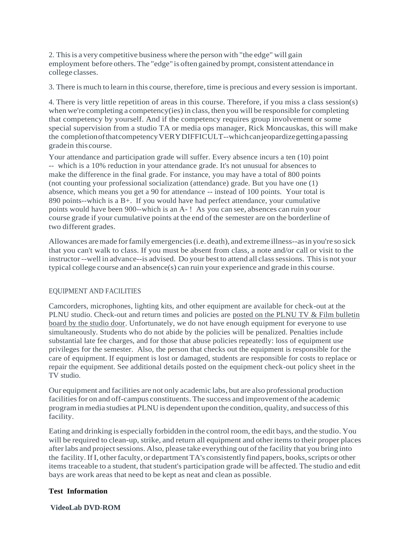2. Thisis a very competitive business where the person with "the edge" will gain employment before others.The "edge" is often gained by prompt, consistent attendance in college classes.

3. There is much to learn in this course, therefore, time is precious and every session isimportant.

4. There is very little repetition of areas in this course. Therefore, if you miss a class session(s) when we're completing a competency(ies) in class, then you will be responsible for completing that competency by yourself. And if the competency requires group involvement or some special supervision from a studio TA or media ops manager, Rick Moncauskas, this will make the completionofthatcompetencyVERYDIFFICULT--whichcanjeopardizegettingapassing gradein this course.

Your attendance and participation grade will suffer. Every absence incurs a ten (10) point -- which is a 10% reduction in your attendance grade. It's not unusual for absences to make the difference in the final grade. For instance, you may have a total of 800 points (not counting your professional socialization (attendance) grade. But you have one (1) absence, which means you get a 90 for attendance -- instead of 100 points. Your total is 890 points--which is a B+. If you would have had perfect attendance, your cumulative points would have been 900--which is an A- ! As you can see, absences can ruin your course grade if your cumulative points at the end of the semester are on the borderline of two different grades.

Allowances aremade forfamily emergencies(i.e. death), and extreme illness--asin you're so sick that you can't walk to class. If you must be absent from class, a note and/or call or visit to the instructor--well in advance--is advised. Do your best to attend all class sessions. This is not your typical college course and an absence(s) can ruin your experience and grade in this course.

### EQUIPMENT AND FACILITIES

Camcorders, microphones, lighting kits, and other equipment are available for check-out at the PLNU studio. Check-out and return times and policies are posted on the PLNU TV & Film bulletin board by the studio door. Unfortunately, we do not have enough equipment for everyone to use simultaneously. Students who do not abide by the policies will be penalized. Penalties include substantial late fee charges, and for those that abuse policies repeatedly: loss of equipment use privileges for the semester. Also, the person that checks out the equipment is responsible for the care of equipment. If equipment is lost or damaged, students are responsible for costs to replace or repair the equipment. See additional details posted on the equipment check-out policy sheet in the TV studio.

Our equipment and facilities are not only academic labs, but are also professional production facilities for on and off-campus constituents. The success and improvement of the academic programinmedia studies at PLNU is dependent upon the condition, quality, and success ofthis facility.

Eating and drinking is especially forbidden in the control room, the edit bays, and the studio. You will be required to clean-up, strike, and return all equipment and other items to their proper places after labs and project sessions. Also, please take everything out of the facility that you bring into the facility. If I, other faculty, or department TA's consistently find papers, books, scripts or other items traceable to a student, that student's participation grade will be affected. The studio and edit bays are work areas that need to be kept as neat and clean as possible.

#### **Test Information**

**VideoLab DVD-ROM**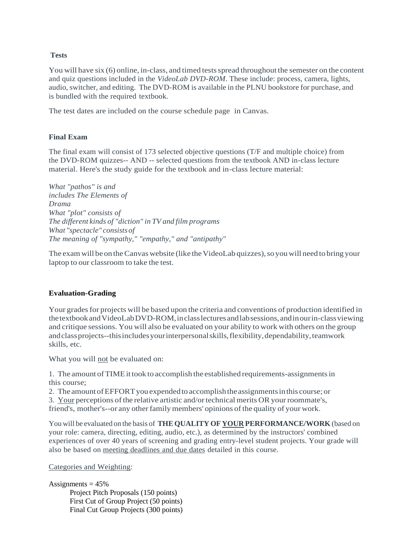### **Tests**

You will have six (6) online, in-class, and timed tests spread throughout the semester on the content and quiz questions included in the *VideoLab DVD-ROM*. These include: process, camera, lights, audio, switcher, and editing. The DVD-ROM is available in the PLNU bookstore for purchase, and is bundled with the required textbook.

The test dates are included on the course schedule page in Canvas.

#### **Final Exam**

The final exam will consist of 173 selected objective questions (T/F and multiple choice) from the DVD-ROM quizzes-- AND -- selected questions from the textbook AND in-class lecture material. Here's the study guide for the textbook and in-class lecture material:

*What "pathos" is and includes The Elements of Drama What "plot" consists of The different kinds of "diction" in TV and film programs What "spectacle" consists of The meaning of "sympathy," "empathy," and "antipathy"*

The exam will be on the Canvas website (like the VideoLab quizzes), so you will need to bring your laptop to our classroom to take the test.

#### **Evaluation-Grading**

Your grades for projects will be based upon the criteria and conventions of production identified in thetextbookandVideoLabDVD-ROM,inclasslecturesandlabsessions,andinourin-classviewing and critique sessions. You will also be evaluated on your ability to work with others on the group and class projects--this includes your interpersonal skills, flexibility, dependability, teamwork skills, etc.

What you will not be evaluated on:

1. The amount ofTIMEittook to accomplish the established requirements-assignmentsin this course;

2. The amount of EFFORT you expended to accomplish the assignments in this course; or

3. Your perceptions ofthe relative artistic and/ortechnical merits OR yourroommate's,

friend's, mother's--or any other family members' opinions of the quality of your work.

You will be evaluated on the basis of **THEQUALITY OF YOUR PERFORMANCE/WORK** (based on your role: camera, directing, editing, audio, etc.), as determined by the instructors' combined experiences of over 40 years of screening and grading entry-level student projects. Your grade will also be based on meeting deadlines and due dates detailed in this course.

Categories and Weighting:

Assignments  $= 45\%$ Project Pitch Proposals (150 points) First Cut of Group Project (50 points) Final Cut Group Projects (300 points)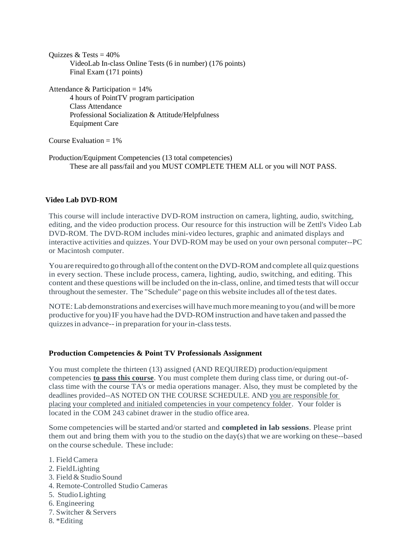```
Quizzes & Tests = 40\%VideoLab In-class Online Tests (6 in number) (176 points)
      Final Exam (171 points)
Attendance & Participation = 14%
```
4 hours of PointTV program participation Class Attendance Professional Socialization & Attitude/Helpfulness Equipment Care

Course Evaluation  $= 1\%$ 

Production/Equipment Competencies (13 total competencies) These are all pass/fail and you MUST COMPLETE THEM ALL or you will NOT PASS.

### **Video Lab DVD-ROM**

This course will include interactive DVD-ROM instruction on camera, lighting, audio, switching, editing, and the video production process. Our resource for this instruction will be Zettl's Video Lab DVD-ROM. The DVD-ROM includes mini-video lectures, graphic and animated displays and interactive activities and quizzes. Your DVD-ROM may be used on your own personal computer--PC or Macintosh computer.

You are required to go through all of the content on the DVD-ROM and complete all quiz questions in every section. These include process, camera, lighting, audio, switching, and editing. This content and these questions will be included on the in-class, online, and timed tests that will occur throughout the semester. The "Schedule" page on this website includes all ofthe test dates.

NOTE:Lab demonstrations and exercises will havemuchmoremeaning to you (andwill bemore productive for you)IF you have had the DVD-ROMinstruction and have taken and passed the quizzesin advance--in preparation for yourin-classtests.

### **Production Competencies & Point TV Professionals Assignment**

You must complete the thirteen (13) assigned (AND REQUIRED) production/equipment competencies **to pass this course**. You must complete them during class time, or during out-ofclass time with the course TA's or media operations manager. Also, they must be completed by the deadlines provided--AS NOTED ON THE COURSE SCHEDULE. AND you are responsible for placing your completed and initialed competencies in your competency folder. Your folder is located in the COM 243 cabinet drawer in the studio office area.

Some competencies will be started and/or started and **completed in lab sessions**. Please print them out and bring them with you to the studio on the day(s) that we are working on these--based on the course schedule. These include:

- 1. Field Camera
- 2. FieldLighting
- 3. Field & Studio Sound
- 4. Remote-Controlled Studio Cameras
- 5. StudioLighting
- 6. Engineering
- 7. Switcher & Servers
- 8. \*Editing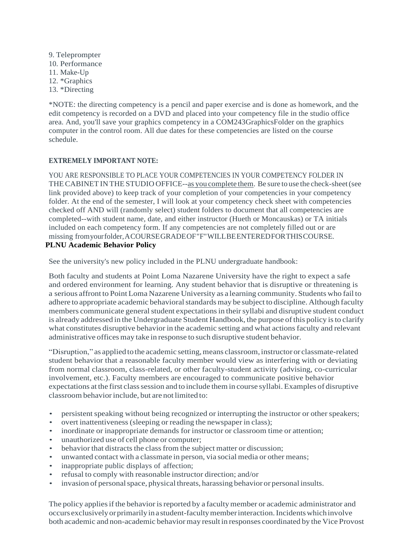9. Teleprompter 10. Performance 11. Make-Up 12. \*Graphics 13. \*Directing

\*NOTE: the directing competency is a pencil and paper exercise and is done as homework, and the edit competency is recorded on a DVD and placed into your competency file in the studio office area. And, you'll save your graphics competency in a COM243GraphicsFolder on the graphics computer in the control room. All due dates for these competencies are listed on the course schedule.

### **EXTREMELY IMPORTANT NOTE:**

YOU ARE RESPONSIBLE TO PLACE YOUR COMPETENCIES IN YOUR COMPETENCY FOLDER IN THECABINET IN THE STUDIO OFFICE--as you complete them. Be sure to use the check-sheet(see link provided above) to keep track of your completion of your competencies in your competency folder. At the end of the semester, I will look at your competency check sheet with competencies checked off AND will (randomly select) student folders to document that all competencies are completed--with student name, date, and either instructor (Hueth or Moncauskas) or TA initials included on each competency form. If any competencies are not completely filled out or are missing fromyourfolder,ACOURSEGRADEOF"F"WILLBEENTEREDFORTHISCOURSE.

### **PLNU Academic Behavior Policy**

See the university's new policy included in the PLNU undergraduate handbook:

Both faculty and students at Point Loma Nazarene University have the right to expect a safe and ordered environment for learning. Any student behavior that is disruptive or threatening is a serious affront to Point Loma Nazarene University as a learning community. Students who fail to adhere to appropriate academic behavioral standards may be subject to discipline. Although faculty members communicate general student expectations in their syllabi and disruptive student conduct is already addressed in the Undergraduate Student Handbook, the purpose ofthis policy isto clarify what constitutes disruptive behavior in the academic setting and what actions faculty and relevant administrative offices may take in response to such disruptive student behavior.

"Disruption," as applied to the academic setting, means classroom, instructor or classmate-related student behavior that a reasonable faculty member would view as interfering with or deviating from normal classroom, class-related, or other faculty-student activity (advising, co-curricular involvement, etc.). Faculty members are encouraged to communicate positive behavior expectations at the first class session and to include them in course syllabi. Examples of disruptive classroom behavior include, but are not limited to:

- persistent speaking without being recognized or interrupting the instructor or other speakers;
- overt inattentiveness (sleeping or reading the newspaper in class);
- inordinate or inappropriate demands for instructor or classroom time or attention;
- unauthorized use of cell phone or computer;
- behavior that distracts the class from the subject matter or discussion;
- unwanted contact with a classmate in person, via social media or other means;
- inappropriate public displays of affection;
- refusal to comply with reasonable instructor direction; and/or
- invasion of personalspace, physical threats, harassing behavior or personal insults.

The policy applies if the behavior is reported by a faculty member or academic administrator and occurs exclusivelyorprimarilyinastudent-facultymemberinteraction.Incidentswhichinvolve both academic and non-academic behaviormay result in responses coordinated by the Vice Provost